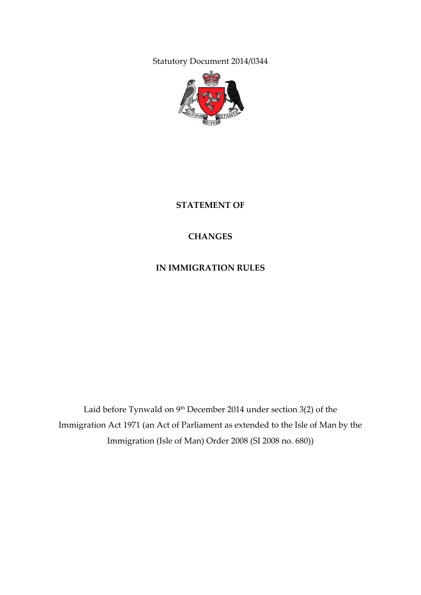Statutory Document 2014/0344



**STATEMENT OF**

### **CHANGES**

#### **IN IMMIGRATION RULES**

Laid before Tynwald on 9<sup>th</sup> December 2014 under section 3(2) of the Immigration Act 1971 (an Act of Parliament as extended to the Isle of Man by the Immigration (Isle of Man) Order 2008 (SI 2008 no. 680))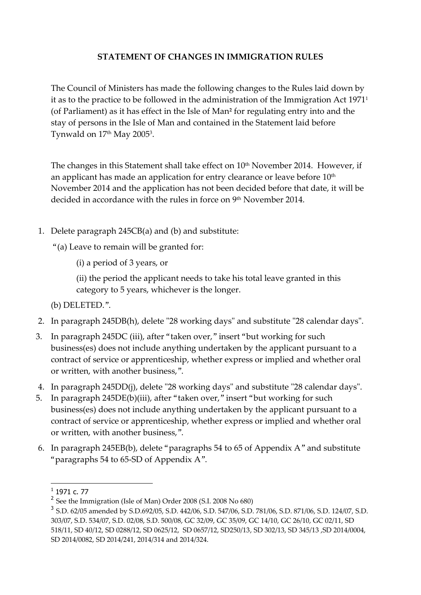#### **STATEMENT OF CHANGES IN IMMIGRATION RULES**

The Council of Ministers has made the following changes to the Rules laid down by it as to the practice to be followed in the administration of the Immigration Act 1971<sup>1</sup> (of Parliament) as it has effect in the Isle of Man**<sup>2</sup>** for regulating entry into and the stay of persons in the Isle of Man and contained in the Statement laid before Tynwald on 17th May 2005<sup>3</sup>.

The changes in this Statement shall take effect on 10<sup>th</sup> November 2014. However, if an applicant has made an application for entry clearance or leave before 10<sup>th</sup> November 2014 and the application has not been decided before that date, it will be decided in accordance with the rules in force on 9<sup>th</sup> November 2014.

1. Delete paragraph 245CB(a) and (b) and substitute:

"(a) Leave to remain will be granted for:

(i) a period of 3 years, or

(ii) the period the applicant needs to take his total leave granted in this category to 5 years, whichever is the longer.

(b) DELETED.".

- 2. In paragraph 245DB(h), delete "28 working days" and substitute "28 calendar days".
- 3. In paragraph 245DC (iii), after "taken over," insert "but working for such business(es) does not include anything undertaken by the applicant pursuant to a contract of service or apprenticeship, whether express or implied and whether oral or written, with another business,".
- 4. In paragraph 245DD(j), delete "28 working days" and substitute "28 calendar days".
- 5. In paragraph 245DE(b)(iii), after "taken over," insert "but working for such business(es) does not include anything undertaken by the applicant pursuant to a contract of service or apprenticeship, whether express or implied and whether oral or written, with another business,".
- 6. In paragraph 245EB(b), delete "paragraphs 54 to 65 of Appendix A" and substitute "paragraphs 54 to 65-SD of Appendix A".

-

 $<sup>1</sup>$  1971 c. 77</sup>

<sup>&</sup>lt;sup>2</sup> See the Immigration (Isle of Man) Order 2008 (S.I. 2008 No 680)

<sup>3</sup> S.D. 62/05 amended by S.D.692/05, S.D. 442/06, S.D. 547/06, S.D. 781/06, S.D. 871/06, S.D. 124/07, S.D. 303/07, S.D. 534/07, S.D. 02/08, S.D. 500/08, GC 32/09, GC 35/09, GC 14/10, GC 26/10, GC 02/11, SD 518/11, SD 40/12, SD 0288/12, SD 0625/12, SD 0657/12, SD250/13, SD 302/13, SD 345/13 ,SD 2014/0004, SD 2014/0082, SD 2014/241, 2014/314 and 2014/324.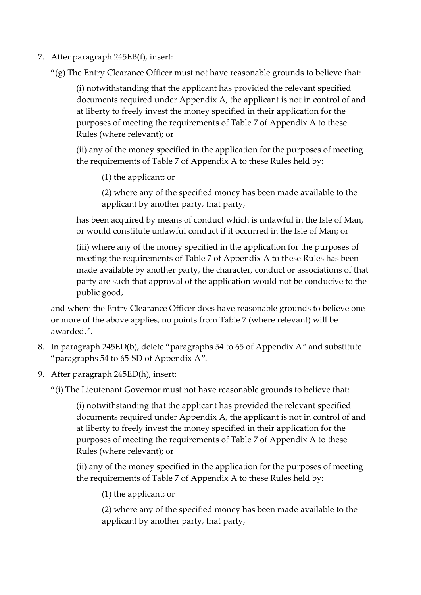- 7. After paragraph 245EB(f), insert:
	- "(g) The Entry Clearance Officer must not have reasonable grounds to believe that:

(i) notwithstanding that the applicant has provided the relevant specified documents required under Appendix A, the applicant is not in control of and at liberty to freely invest the money specified in their application for the purposes of meeting the requirements of Table 7 of Appendix A to these Rules (where relevant); or

(ii) any of the money specified in the application for the purposes of meeting the requirements of Table 7 of Appendix A to these Rules held by:

(1) the applicant; or

(2) where any of the specified money has been made available to the applicant by another party, that party,

has been acquired by means of conduct which is unlawful in the Isle of Man, or would constitute unlawful conduct if it occurred in the Isle of Man; or

(iii) where any of the money specified in the application for the purposes of meeting the requirements of Table 7 of Appendix A to these Rules has been made available by another party, the character, conduct or associations of that party are such that approval of the application would not be conducive to the public good,

and where the Entry Clearance Officer does have reasonable grounds to believe one or more of the above applies, no points from Table 7 (where relevant) will be awarded.".

- 8. In paragraph 245ED(b), delete "paragraphs 54 to 65 of Appendix A" and substitute "paragraphs 54 to 65-SD of Appendix A".
- 9. After paragraph 245ED(h), insert:

"(i) The Lieutenant Governor must not have reasonable grounds to believe that:

(i) notwithstanding that the applicant has provided the relevant specified documents required under Appendix A, the applicant is not in control of and at liberty to freely invest the money specified in their application for the purposes of meeting the requirements of Table 7 of Appendix A to these Rules (where relevant); or

(ii) any of the money specified in the application for the purposes of meeting the requirements of Table 7 of Appendix A to these Rules held by:

(1) the applicant; or

(2) where any of the specified money has been made available to the applicant by another party, that party,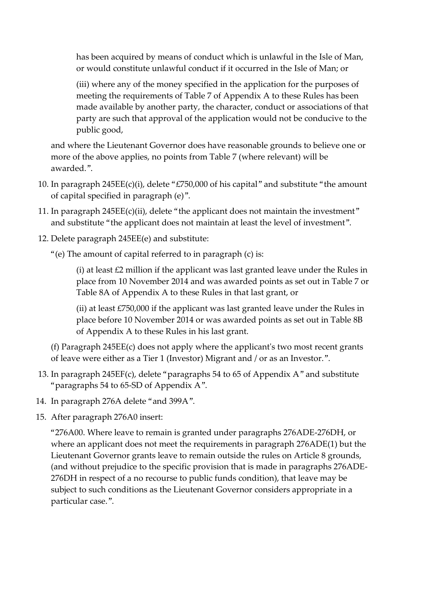has been acquired by means of conduct which is unlawful in the Isle of Man, or would constitute unlawful conduct if it occurred in the Isle of Man; or

(iii) where any of the money specified in the application for the purposes of meeting the requirements of Table 7 of Appendix A to these Rules has been made available by another party, the character, conduct or associations of that party are such that approval of the application would not be conducive to the public good,

and where the Lieutenant Governor does have reasonable grounds to believe one or more of the above applies, no points from Table 7 (where relevant) will be awarded.".

- 10. In paragraph 245EE(c)(i), delete "£750,000 of his capital" and substitute "the amount of capital specified in paragraph (e)".
- 11. In paragraph 245EE(c)(ii), delete "the applicant does not maintain the investment" and substitute "the applicant does not maintain at least the level of investment".
- 12. Delete paragraph 245EE(e) and substitute:
	- "(e) The amount of capital referred to in paragraph (c) is:

(i) at least £2 million if the applicant was last granted leave under the Rules in place from 10 November 2014 and was awarded points as set out in Table 7 or Table 8A of Appendix A to these Rules in that last grant, or

(ii) at least £750,000 if the applicant was last granted leave under the Rules in place before 10 November 2014 or was awarded points as set out in Table 8B of Appendix A to these Rules in his last grant.

(f) Paragraph 245EE(c) does not apply where the applicant's two most recent grants of leave were either as a Tier 1 (Investor) Migrant and / or as an Investor.".

- 13. In paragraph 245EF(c), delete "paragraphs 54 to 65 of Appendix A" and substitute "paragraphs 54 to 65-SD of Appendix A".
- 14. In paragraph 276A delete "and 399A".
- 15. After paragraph 276A0 insert:

"276A00. Where leave to remain is granted under paragraphs 276ADE-276DH, or where an applicant does not meet the requirements in paragraph 276ADE(1) but the Lieutenant Governor grants leave to remain outside the rules on Article 8 grounds, (and without prejudice to the specific provision that is made in paragraphs 276ADE-276DH in respect of a no recourse to public funds condition), that leave may be subject to such conditions as the Lieutenant Governor considers appropriate in a particular case.".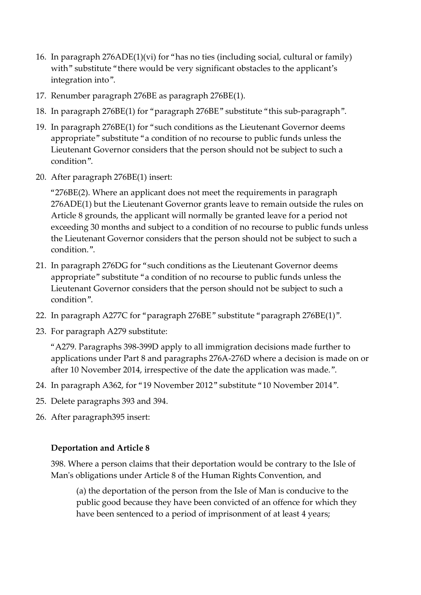- 16. In paragraph 276ADE(1)(vi) for "has no ties (including social, cultural or family) with" substitute "there would be very significant obstacles to the applicant's integration into".
- 17. Renumber paragraph 276BE as paragraph 276BE(1).
- 18. In paragraph 276BE(1) for "paragraph 276BE" substitute "this sub-paragraph".
- 19. In paragraph 276BE(1) for "such conditions as the Lieutenant Governor deems appropriate" substitute "a condition of no recourse to public funds unless the Lieutenant Governor considers that the person should not be subject to such a condition".
- 20. After paragraph 276BE(1) insert:

"276BE(2). Where an applicant does not meet the requirements in paragraph 276ADE(1) but the Lieutenant Governor grants leave to remain outside the rules on Article 8 grounds, the applicant will normally be granted leave for a period not exceeding 30 months and subject to a condition of no recourse to public funds unless the Lieutenant Governor considers that the person should not be subject to such a condition.".

- 21. In paragraph 276DG for "such conditions as the Lieutenant Governor deems appropriate" substitute "a condition of no recourse to public funds unless the Lieutenant Governor considers that the person should not be subject to such a condition".
- 22. In paragraph A277C for "paragraph 276BE" substitute "paragraph 276BE(1)".
- 23. For paragraph A279 substitute:

"A279. Paragraphs 398-399D apply to all immigration decisions made further to applications under Part 8 and paragraphs 276A-276D where a decision is made on or after 10 November 2014, irrespective of the date the application was made.".

- 24. In paragraph A362, for "19 November 2012" substitute "10 November 2014".
- 25. Delete paragraphs 393 and 394.
- 26. After paragraph395 insert:

#### **Deportation and Article 8**

398. Where a person claims that their deportation would be contrary to the Isle of Man's obligations under Article 8 of the Human Rights Convention, and

(a) the deportation of the person from the Isle of Man is conducive to the public good because they have been convicted of an offence for which they have been sentenced to a period of imprisonment of at least 4 years;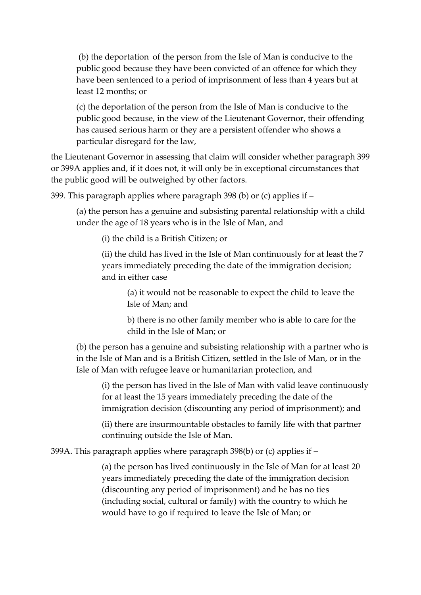(b) the deportation of the person from the Isle of Man is conducive to the public good because they have been convicted of an offence for which they have been sentenced to a period of imprisonment of less than 4 years but at least 12 months; or

(c) the deportation of the person from the Isle of Man is conducive to the public good because, in the view of the Lieutenant Governor, their offending has caused serious harm or they are a persistent offender who shows a particular disregard for the law,

the Lieutenant Governor in assessing that claim will consider whether paragraph 399 or 399A applies and, if it does not, it will only be in exceptional circumstances that the public good will be outweighed by other factors.

399. This paragraph applies where paragraph 398 (b) or (c) applies if –

(a) the person has a genuine and subsisting parental relationship with a child under the age of 18 years who is in the Isle of Man, and

(i) the child is a British Citizen; or

(ii) the child has lived in the Isle of Man continuously for at least the 7 years immediately preceding the date of the immigration decision; and in either case

(a) it would not be reasonable to expect the child to leave the Isle of Man; and

b) there is no other family member who is able to care for the child in the Isle of Man; or

(b) the person has a genuine and subsisting relationship with a partner who is in the Isle of Man and is a British Citizen, settled in the Isle of Man, or in the Isle of Man with refugee leave or humanitarian protection, and

(i) the person has lived in the Isle of Man with valid leave continuously for at least the 15 years immediately preceding the date of the immigration decision (discounting any period of imprisonment); and

(ii) there are insurmountable obstacles to family life with that partner continuing outside the Isle of Man.

399A. This paragraph applies where paragraph 398(b) or (c) applies if –

(a) the person has lived continuously in the Isle of Man for at least 20 years immediately preceding the date of the immigration decision (discounting any period of imprisonment) and he has no ties (including social, cultural or family) with the country to which he would have to go if required to leave the Isle of Man; or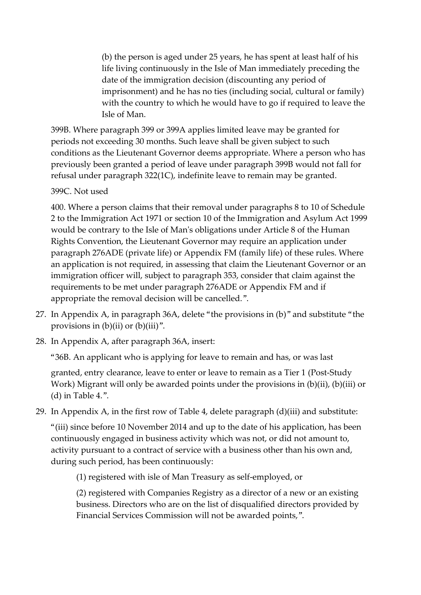(b) the person is aged under 25 years, he has spent at least half of his life living continuously in the Isle of Man immediately preceding the date of the immigration decision (discounting any period of imprisonment) and he has no ties (including social, cultural or family) with the country to which he would have to go if required to leave the Isle of Man.

399B. Where paragraph 399 or 399A applies limited leave may be granted for periods not exceeding 30 months. Such leave shall be given subject to such conditions as the Lieutenant Governor deems appropriate. Where a person who has previously been granted a period of leave under paragraph 399B would not fall for refusal under paragraph 322(1C), indefinite leave to remain may be granted.

#### 399C. Not used

400. Where a person claims that their removal under paragraphs 8 to 10 of Schedule 2 to the Immigration Act 1971 or section 10 of the Immigration and Asylum Act 1999 would be contrary to the Isle of Man's obligations under Article 8 of the Human Rights Convention, the Lieutenant Governor may require an application under paragraph 276ADE (private life) or Appendix FM (family life) of these rules. Where an application is not required, in assessing that claim the Lieutenant Governor or an immigration officer will, subject to paragraph 353, consider that claim against the requirements to be met under paragraph 276ADE or Appendix FM and if appropriate the removal decision will be cancelled.".

- 27. In Appendix A, in paragraph 36A, delete "the provisions in (b)" and substitute "the provisions in  $(b)(ii)$  or  $(b)(iii)$ ".
- 28. In Appendix A, after paragraph 36A, insert:

"36B. An applicant who is applying for leave to remain and has, or was last

granted, entry clearance, leave to enter or leave to remain as a Tier 1 (Post-Study Work) Migrant will only be awarded points under the provisions in (b)(ii), (b)(iii) or (d) in Table 4.".

29. In Appendix A, in the first row of Table 4, delete paragraph (d)(iii) and substitute:

"(iii) since before 10 November 2014 and up to the date of his application, has been continuously engaged in business activity which was not, or did not amount to, activity pursuant to a contract of service with a business other than his own and, during such period, has been continuously:

(1) registered with isle of Man Treasury as self-employed, or

(2) registered with Companies Registry as a director of a new or an existing business. Directors who are on the list of disqualified directors provided by Financial Services Commission will not be awarded points,".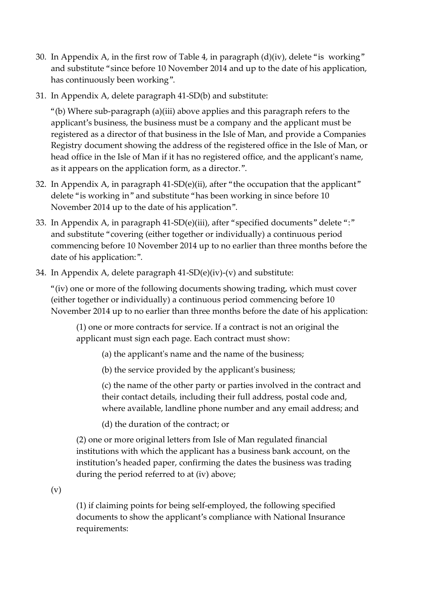- 30. In Appendix A, in the first row of Table 4, in paragraph (d)(iv), delete "is working" and substitute "since before 10 November 2014 and up to the date of his application, has continuously been working".
- 31. In Appendix A, delete paragraph 41-SD(b) and substitute:

"(b) Where sub-paragraph (a)(iii) above applies and this paragraph refers to the applicant's business, the business must be a company and the applicant must be registered as a director of that business in the Isle of Man, and provide a Companies Registry document showing the address of the registered office in the Isle of Man, or head office in the Isle of Man if it has no registered office, and the applicant's name, as it appears on the application form, as a director.".

- 32. In Appendix A, in paragraph 41-SD(e)(ii), after "the occupation that the applicant" delete "is working in" and substitute "has been working in since before 10 November 2014 up to the date of his application".
- 33. In Appendix A, in paragraph 41-SD(e)(iii), after "specified documents" delete ":" and substitute "covering (either together or individually) a continuous period commencing before 10 November 2014 up to no earlier than three months before the date of his application:".
- 34. In Appendix A, delete paragraph 41-SD(e)(iv)-(v) and substitute:

"(iv) one or more of the following documents showing trading, which must cover (either together or individually) a continuous period commencing before 10 November 2014 up to no earlier than three months before the date of his application:

(1) one or more contracts for service. If a contract is not an original the applicant must sign each page. Each contract must show:

(a) the applicant's name and the name of the business;

(b) the service provided by the applicant's business;

(c) the name of the other party or parties involved in the contract and their contact details, including their full address, postal code and, where available, landline phone number and any email address; and

(d) the duration of the contract; or

(2) one or more original letters from Isle of Man regulated financial institutions with which the applicant has a business bank account, on the institution's headed paper, confirming the dates the business was trading during the period referred to at (iv) above;

(v)

(1) if claiming points for being self-employed, the following specified documents to show the applicant's compliance with National Insurance requirements: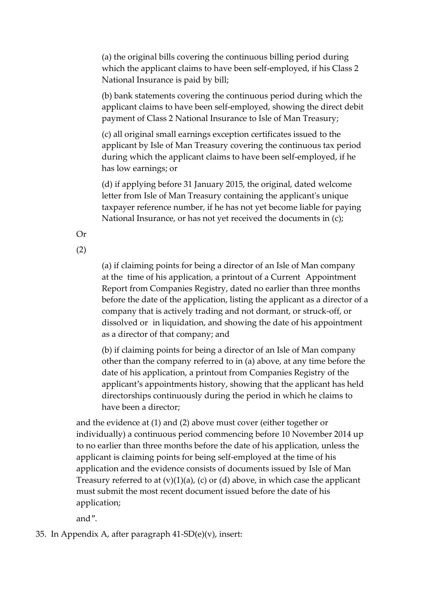(a) the original bills covering the continuous billing period during which the applicant claims to have been self-employed, if his Class 2 National Insurance is paid by bill;

(b) bank statements covering the continuous period during which the applicant claims to have been self-employed, showing the direct debit payment of Class 2 National Insurance to Isle of Man Treasury;

(c) all original small earnings exception certificates issued to the applicant by Isle of Man Treasury covering the continuous tax period during which the applicant claims to have been self-employed, if he has low earnings; or

(d) if applying before 31 January 2015, the original, dated welcome letter from Isle of Man Treasury containing the applicant's unique taxpayer reference number, if he has not yet become liable for paying National Insurance, or has not yet received the documents in (c);

Or

(2)

(a) if claiming points for being a director of an Isle of Man company at the time of his application, a printout of a Current Appointment Report from Companies Registry, dated no earlier than three months before the date of the application, listing the applicant as a director of a company that is actively trading and not dormant, or struck-off, or dissolved or in liquidation, and showing the date of his appointment as a director of that company; and

(b) if claiming points for being a director of an Isle of Man company other than the company referred to in (a) above, at any time before the date of his application, a printout from Companies Registry of the applicant's appointments history, showing that the applicant has held directorships continuously during the period in which he claims to have been a director;

and the evidence at (1) and (2) above must cover (either together or individually) a continuous period commencing before 10 November 2014 up to no earlier than three months before the date of his application, unless the applicant is claiming points for being self-employed at the time of his application and the evidence consists of documents issued by Isle of Man Treasury referred to at  $(v)(1)(a)$ ,  $(c)$  or  $(d)$  above, in which case the applicant must submit the most recent document issued before the date of his application;

and".

35. In Appendix A, after paragraph 41-SD(e)(v), insert: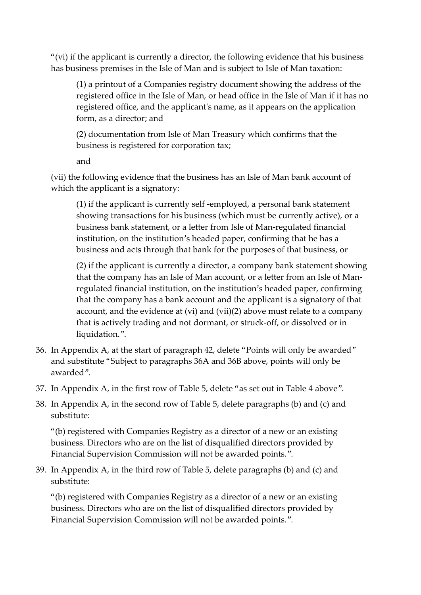"(vi) if the applicant is currently a director, the following evidence that his business has business premises in the Isle of Man and is subject to Isle of Man taxation:

(1) a printout of a Companies registry document showing the address of the registered office in the Isle of Man, or head office in the Isle of Man if it has no registered office, and the applicant's name, as it appears on the application form, as a director; and

(2) documentation from Isle of Man Treasury which confirms that the business is registered for corporation tax;

and

(vii) the following evidence that the business has an Isle of Man bank account of which the applicant is a signatory:

(1) if the applicant is currently self -employed, a personal bank statement showing transactions for his business (which must be currently active), or a business bank statement, or a letter from Isle of Man-regulated financial institution, on the institution's headed paper, confirming that he has a business and acts through that bank for the purposes of that business, or

(2) if the applicant is currently a director, a company bank statement showing that the company has an Isle of Man account, or a letter from an Isle of Manregulated financial institution, on the institution's headed paper, confirming that the company has a bank account and the applicant is a signatory of that account, and the evidence at (vi) and (vii)(2) above must relate to a company that is actively trading and not dormant, or struck-off, or dissolved or in liquidation.".

- 36. In Appendix A, at the start of paragraph 42, delete "Points will only be awarded" and substitute "Subject to paragraphs 36A and 36B above, points will only be awarded".
- 37. In Appendix A, in the first row of Table 5, delete "as set out in Table 4 above".
- 38. In Appendix A, in the second row of Table 5, delete paragraphs (b) and (c) and substitute:

"(b) registered with Companies Registry as a director of a new or an existing business. Directors who are on the list of disqualified directors provided by Financial Supervision Commission will not be awarded points.".

39. In Appendix A, in the third row of Table 5, delete paragraphs (b) and (c) and substitute:

"(b) registered with Companies Registry as a director of a new or an existing business. Directors who are on the list of disqualified directors provided by Financial Supervision Commission will not be awarded points.".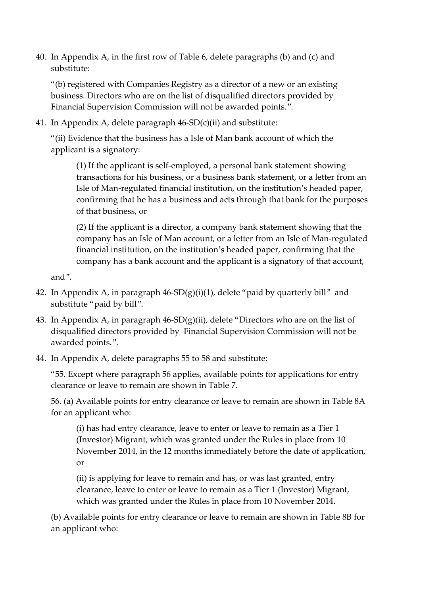40. In Appendix A, in the first row of Table 6, delete paragraphs (b) and (c) and substitute:

"(b) registered with Companies Registry as a director of a new or an existing business. Directors who are on the list of disqualified directors provided by Financial Supervision Commission will not be awarded points.".

41. In Appendix A, delete paragraph 46-SD(c)(ii) and substitute:

"(ii) Evidence that the business has a Isle of Man bank account of which the applicant is a signatory:

(1) If the applicant is self-employed, a personal bank statement showing transactions for his business, or a business bank statement, or a letter from an Isle of Man-regulated financial institution, on the institution's headed paper, confirming that he has a business and acts through that bank for the purposes of that business, or

(2) If the applicant is a director, a company bank statement showing that the company has an Isle of Man account, or a letter from an Isle of Man-regulated financial institution, on the institution's headed paper, confirming that the company has a bank account and the applicant is a signatory of that account,

and".

- 42. In Appendix A, in paragraph  $46$ -SD $(g)(i)(1)$ , delete "paid by quarterly bill" and substitute "paid by bill".
- 43. In Appendix A, in paragraph  $46$ -SD $(g)(ii)$ , delete "Directors who are on the list of disqualified directors provided by Financial Supervision Commission will not be awarded points.".
- 44. In Appendix A, delete paragraphs 55 to 58 and substitute:

"55. Except where paragraph 56 applies, available points for applications for entry clearance or leave to remain are shown in Table 7.

56. (a) Available points for entry clearance or leave to remain are shown in Table 8A for an applicant who:

(i) has had entry clearance, leave to enter or leave to remain as a Tier 1 (Investor) Migrant, which was granted under the Rules in place from 10 November 2014, in the 12 months immediately before the date of application, or

(ii) is applying for leave to remain and has, or was last granted, entry clearance, leave to enter or leave to remain as a Tier 1 (Investor) Migrant, which was granted under the Rules in place from 10 November 2014.

(b) Available points for entry clearance or leave to remain are shown in Table 8B for an applicant who: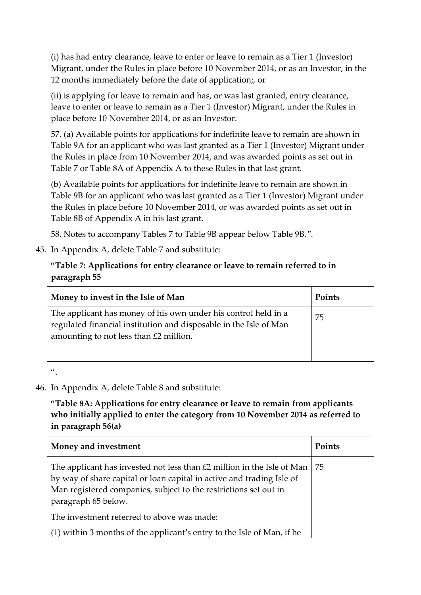(i) has had entry clearance, leave to enter or leave to remain as a Tier 1 (Investor) Migrant, under the Rules in place before 10 November 2014, or as an Investor, in the 12 months immediately before the date of application;, or

(ii) is applying for leave to remain and has, or was last granted, entry clearance, leave to enter or leave to remain as a Tier 1 (Investor) Migrant, under the Rules in place before 10 November 2014, or as an Investor.

57. (a) Available points for applications for indefinite leave to remain are shown in Table 9A for an applicant who was last granted as a Tier 1 (Investor) Migrant under the Rules in place from 10 November 2014, and was awarded points as set out in Table 7 or Table 8A of Appendix A to these Rules in that last grant.

(b) Available points for applications for indefinite leave to remain are shown in Table 9B for an applicant who was last granted as a Tier 1 (Investor) Migrant under the Rules in place before 10 November 2014, or was awarded points as set out in Table 8B of Appendix A in his last grant.

58. Notes to accompany Tables 7 to Table 9B appear below Table 9B.".

45. In Appendix A, delete Table 7 and substitute:

### "**Table 7: Applications for entry clearance or leave to remain referred to in paragraph 55**

| Money to invest in the Isle of Man                                                                                                                                              | Points |
|---------------------------------------------------------------------------------------------------------------------------------------------------------------------------------|--------|
| The applicant has money of his own under his control held in a<br>regulated financial institution and disposable in the Isle of Man<br>amounting to not less than $£2$ million. | 75     |

 $\alpha$ 

46. In Appendix A, delete Table 8 and substitute:

"**Table 8A: Applications for entry clearance or leave to remain from applicants who initially applied to enter the category from 10 November 2014 as referred to in paragraph 56(a)**

| Money and investment                                                                                                                                                                                                                       | Points |
|--------------------------------------------------------------------------------------------------------------------------------------------------------------------------------------------------------------------------------------------|--------|
| The applicant has invested not less than £2 million in the Isle of Man<br>by way of share capital or loan capital in active and trading Isle of<br>Man registered companies, subject to the restrictions set out in<br>paragraph 65 below. | 75     |
| The investment referred to above was made:                                                                                                                                                                                                 |        |
| (1) within 3 months of the applicant's entry to the Isle of Man, if he                                                                                                                                                                     |        |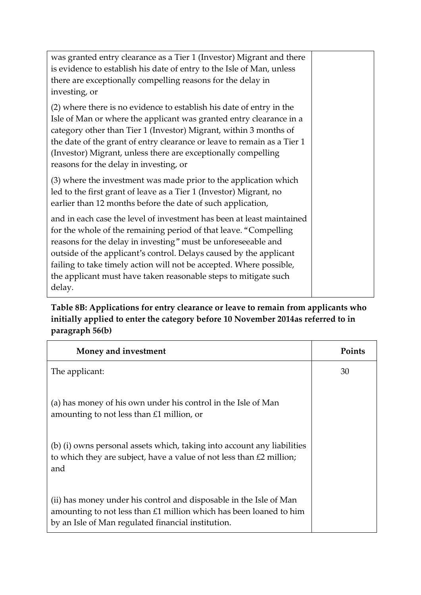| was granted entry clearance as a Tier 1 (Investor) Migrant and there<br>is evidence to establish his date of entry to the Isle of Man, unless<br>there are exceptionally compelling reasons for the delay in<br>investing, or                                                                                                                                                                                                        |  |
|--------------------------------------------------------------------------------------------------------------------------------------------------------------------------------------------------------------------------------------------------------------------------------------------------------------------------------------------------------------------------------------------------------------------------------------|--|
| (2) where there is no evidence to establish his date of entry in the<br>Isle of Man or where the applicant was granted entry clearance in a<br>category other than Tier 1 (Investor) Migrant, within 3 months of<br>the date of the grant of entry clearance or leave to remain as a Tier 1<br>(Investor) Migrant, unless there are exceptionally compelling<br>reasons for the delay in investing, or                               |  |
| (3) where the investment was made prior to the application which<br>led to the first grant of leave as a Tier 1 (Investor) Migrant, no<br>earlier than 12 months before the date of such application,                                                                                                                                                                                                                                |  |
| and in each case the level of investment has been at least maintained<br>for the whole of the remaining period of that leave. "Compelling<br>reasons for the delay in investing" must be unforeseeable and<br>outside of the applicant's control. Delays caused by the applicant<br>failing to take timely action will not be accepted. Where possible,<br>the applicant must have taken reasonable steps to mitigate such<br>delay. |  |

# **Table 8B: Applications for entry clearance or leave to remain from applicants who initially applied to enter the category before 10 November 2014as referred to in paragraph 56(b)**

| Money and investment                                                                                                                                                                             | <b>Points</b> |
|--------------------------------------------------------------------------------------------------------------------------------------------------------------------------------------------------|---------------|
| The applicant:                                                                                                                                                                                   | 30            |
| (a) has money of his own under his control in the Isle of Man<br>amounting to not less than $£1$ million, or                                                                                     |               |
| (b) (i) owns personal assets which, taking into account any liabilities<br>to which they are subject, have a value of not less than $\text{\pounds}2$ million;<br>and                            |               |
| (ii) has money under his control and disposable in the Isle of Man<br>amounting to not less than $£1$ million which has been loaned to him<br>by an Isle of Man regulated financial institution. |               |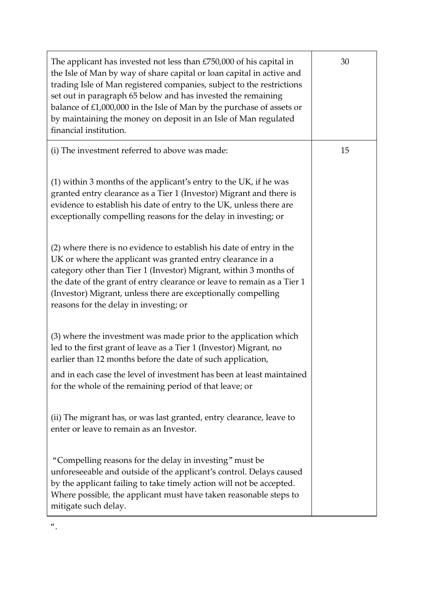| The applicant has invested not less than £750,000 of his capital in<br>the Isle of Man by way of share capital or loan capital in active and<br>trading Isle of Man registered companies, subject to the restrictions<br>set out in paragraph 65 below and has invested the remaining<br>balance of £1,000,000 in the Isle of Man by the purchase of assets or<br>by maintaining the money on deposit in an Isle of Man regulated<br>financial institution. | 30 |
|-------------------------------------------------------------------------------------------------------------------------------------------------------------------------------------------------------------------------------------------------------------------------------------------------------------------------------------------------------------------------------------------------------------------------------------------------------------|----|
| (i) The investment referred to above was made:                                                                                                                                                                                                                                                                                                                                                                                                              | 15 |
| (1) within 3 months of the applicant's entry to the UK, if he was<br>granted entry clearance as a Tier 1 (Investor) Migrant and there is<br>evidence to establish his date of entry to the UK, unless there are<br>exceptionally compelling reasons for the delay in investing; or                                                                                                                                                                          |    |
| (2) where there is no evidence to establish his date of entry in the<br>UK or where the applicant was granted entry clearance in a<br>category other than Tier 1 (Investor) Migrant, within 3 months of<br>the date of the grant of entry clearance or leave to remain as a Tier 1<br>(Investor) Migrant, unless there are exceptionally compelling<br>reasons for the delay in investing; or                                                               |    |
| (3) where the investment was made prior to the application which<br>led to the first grant of leave as a Tier 1 (Investor) Migrant, no<br>earlier than 12 months before the date of such application,                                                                                                                                                                                                                                                       |    |
| and in each case the level of investment has been at least maintained<br>for the whole of the remaining period of that leave; or                                                                                                                                                                                                                                                                                                                            |    |
| (ii) The migrant has, or was last granted, entry clearance, leave to<br>enter or leave to remain as an Investor.                                                                                                                                                                                                                                                                                                                                            |    |
| "Compelling reasons for the delay in investing" must be<br>unforeseeable and outside of the applicant's control. Delays caused<br>by the applicant failing to take timely action will not be accepted.<br>Where possible, the applicant must have taken reasonable steps to<br>mitigate such delay.                                                                                                                                                         |    |

 $\frac{a}{\cdot}$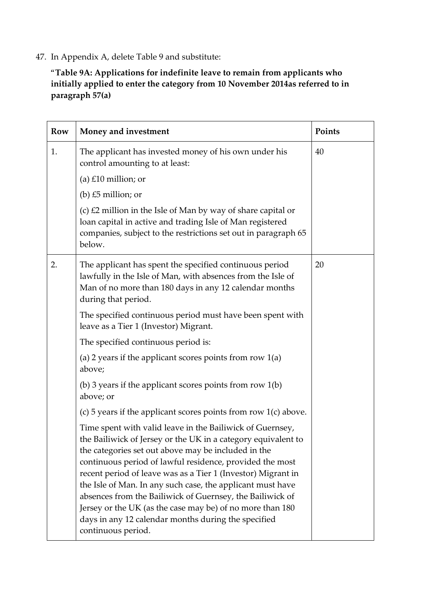47. In Appendix A, delete Table 9 and substitute:

"**Table 9A: Applications for indefinite leave to remain from applicants who initially applied to enter the category from 10 November 2014as referred to in paragraph 57(a)**

| Row | Money and investment                                                                                                                                                                                                                                                                                                                                                                                                                                                                                                                                                               | Points |
|-----|------------------------------------------------------------------------------------------------------------------------------------------------------------------------------------------------------------------------------------------------------------------------------------------------------------------------------------------------------------------------------------------------------------------------------------------------------------------------------------------------------------------------------------------------------------------------------------|--------|
| 1.  | The applicant has invested money of his own under his<br>control amounting to at least:                                                                                                                                                                                                                                                                                                                                                                                                                                                                                            | 40     |
|     | (a) $£10$ million; or                                                                                                                                                                                                                                                                                                                                                                                                                                                                                                                                                              |        |
|     | (b) $£5$ million; or                                                                                                                                                                                                                                                                                                                                                                                                                                                                                                                                                               |        |
|     | (c) $E2$ million in the Isle of Man by way of share capital or<br>loan capital in active and trading Isle of Man registered<br>companies, subject to the restrictions set out in paragraph 65<br>below.                                                                                                                                                                                                                                                                                                                                                                            |        |
| 2.  | The applicant has spent the specified continuous period<br>lawfully in the Isle of Man, with absences from the Isle of<br>Man of no more than 180 days in any 12 calendar months<br>during that period.                                                                                                                                                                                                                                                                                                                                                                            | 20     |
|     | The specified continuous period must have been spent with<br>leave as a Tier 1 (Investor) Migrant.                                                                                                                                                                                                                                                                                                                                                                                                                                                                                 |        |
|     | The specified continuous period is:                                                                                                                                                                                                                                                                                                                                                                                                                                                                                                                                                |        |
|     | (a) 2 years if the applicant scores points from row $1(a)$<br>above;                                                                                                                                                                                                                                                                                                                                                                                                                                                                                                               |        |
|     | (b) 3 years if the applicant scores points from row $1(b)$<br>above; or                                                                                                                                                                                                                                                                                                                                                                                                                                                                                                            |        |
|     | (c) 5 years if the applicant scores points from row $1(c)$ above.                                                                                                                                                                                                                                                                                                                                                                                                                                                                                                                  |        |
|     | Time spent with valid leave in the Bailiwick of Guernsey,<br>the Bailiwick of Jersey or the UK in a category equivalent to<br>the categories set out above may be included in the<br>continuous period of lawful residence, provided the most<br>recent period of leave was as a Tier 1 (Investor) Migrant in<br>the Isle of Man. In any such case, the applicant must have<br>absences from the Bailiwick of Guernsey, the Bailiwick of<br>Jersey or the UK (as the case may be) of no more than 180<br>days in any 12 calendar months during the specified<br>continuous period. |        |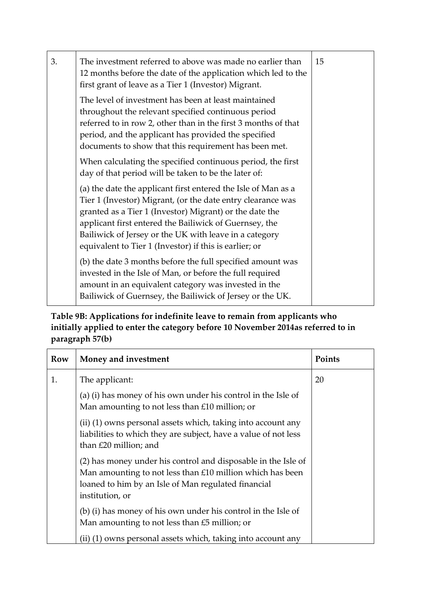| 3. | The investment referred to above was made no earlier than<br>12 months before the date of the application which led to the<br>first grant of leave as a Tier 1 (Investor) Migrant.                                                                                                                                                                                    |  |  |  |
|----|-----------------------------------------------------------------------------------------------------------------------------------------------------------------------------------------------------------------------------------------------------------------------------------------------------------------------------------------------------------------------|--|--|--|
|    | The level of investment has been at least maintained<br>throughout the relevant specified continuous period<br>referred to in row 2, other than in the first 3 months of that<br>period, and the applicant has provided the specified<br>documents to show that this requirement has been met.                                                                        |  |  |  |
|    | When calculating the specified continuous period, the first<br>day of that period will be taken to be the later of:                                                                                                                                                                                                                                                   |  |  |  |
|    | (a) the date the applicant first entered the Isle of Man as a<br>Tier 1 (Investor) Migrant, (or the date entry clearance was<br>granted as a Tier 1 (Investor) Migrant) or the date the<br>applicant first entered the Bailiwick of Guernsey, the<br>Bailiwick of Jersey or the UK with leave in a category<br>equivalent to Tier 1 (Investor) if this is earlier; or |  |  |  |
|    | (b) the date 3 months before the full specified amount was<br>invested in the Isle of Man, or before the full required<br>amount in an equivalent category was invested in the<br>Bailiwick of Guernsey, the Bailiwick of Jersey or the UK.                                                                                                                           |  |  |  |

**Table 9B: Applications for indefinite leave to remain from applicants who initially applied to enter the category before 10 November 2014as referred to in paragraph 57(b)**

| Row | Money and investment                                                                                                                                                                                 | Points |
|-----|------------------------------------------------------------------------------------------------------------------------------------------------------------------------------------------------------|--------|
| 1.  | The applicant:                                                                                                                                                                                       | 20     |
|     | (a) (i) has money of his own under his control in the Isle of<br>Man amounting to not less than £10 million; or                                                                                      |        |
|     | (ii) (1) owns personal assets which, taking into account any<br>liabilities to which they are subject, have a value of not less<br>than £20 million; and                                             |        |
|     | (2) has money under his control and disposable in the Isle of<br>Man amounting to not less than £10 million which has been<br>loaned to him by an Isle of Man regulated financial<br>institution, or |        |
|     | (b) (i) has money of his own under his control in the Isle of<br>Man amounting to not less than £5 million; or<br>(ii) (1) owns personal assets which, taking into account any                       |        |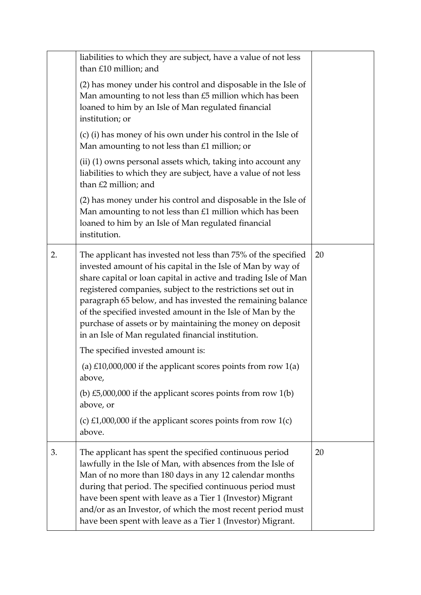|    | liabilities to which they are subject, have a value of not less<br>than £10 million; and                                                                                                                                                                                                                                                                                                                                                                                                                       |    |
|----|----------------------------------------------------------------------------------------------------------------------------------------------------------------------------------------------------------------------------------------------------------------------------------------------------------------------------------------------------------------------------------------------------------------------------------------------------------------------------------------------------------------|----|
|    | (2) has money under his control and disposable in the Isle of<br>Man amounting to not less than £5 million which has been<br>loaned to him by an Isle of Man regulated financial<br>institution; or                                                                                                                                                                                                                                                                                                            |    |
|    | (c) (i) has money of his own under his control in the Isle of<br>Man amounting to not less than £1 million; or                                                                                                                                                                                                                                                                                                                                                                                                 |    |
|    | (ii) (1) owns personal assets which, taking into account any<br>liabilities to which they are subject, have a value of not less<br>than £2 million; and                                                                                                                                                                                                                                                                                                                                                        |    |
|    | (2) has money under his control and disposable in the Isle of<br>Man amounting to not less than £1 million which has been<br>loaned to him by an Isle of Man regulated financial<br>institution.                                                                                                                                                                                                                                                                                                               |    |
| 2. | The applicant has invested not less than 75% of the specified<br>invested amount of his capital in the Isle of Man by way of<br>share capital or loan capital in active and trading Isle of Man<br>registered companies, subject to the restrictions set out in<br>paragraph 65 below, and has invested the remaining balance<br>of the specified invested amount in the Isle of Man by the<br>purchase of assets or by maintaining the money on deposit<br>in an Isle of Man regulated financial institution. | 20 |
|    | The specified invested amount is:                                                                                                                                                                                                                                                                                                                                                                                                                                                                              |    |
|    | (a) $£10,000,000$ if the applicant scores points from row $1(a)$<br>above,                                                                                                                                                                                                                                                                                                                                                                                                                                     |    |
|    | (b) £5,000,000 if the applicant scores points from row $1(b)$<br>above, or                                                                                                                                                                                                                                                                                                                                                                                                                                     |    |
|    | (c) £1,000,000 if the applicant scores points from row $1(c)$<br>above.                                                                                                                                                                                                                                                                                                                                                                                                                                        |    |
| 3. | The applicant has spent the specified continuous period<br>lawfully in the Isle of Man, with absences from the Isle of<br>Man of no more than 180 days in any 12 calendar months<br>during that period. The specified continuous period must<br>have been spent with leave as a Tier 1 (Investor) Migrant<br>and/or as an Investor, of which the most recent period must<br>have been spent with leave as a Tier 1 (Investor) Migrant.                                                                         | 20 |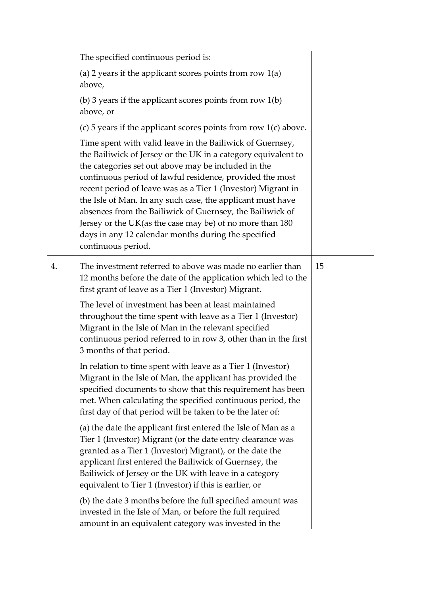|    | The specified continuous period is:                                                                                                                                                                                                                                                                                                                                                                                                                                                                                                                                               |    |
|----|-----------------------------------------------------------------------------------------------------------------------------------------------------------------------------------------------------------------------------------------------------------------------------------------------------------------------------------------------------------------------------------------------------------------------------------------------------------------------------------------------------------------------------------------------------------------------------------|----|
|    | (a) 2 years if the applicant scores points from row $1(a)$<br>above,                                                                                                                                                                                                                                                                                                                                                                                                                                                                                                              |    |
|    | (b) 3 years if the applicant scores points from row $1(b)$<br>above, or                                                                                                                                                                                                                                                                                                                                                                                                                                                                                                           |    |
|    | (c) 5 years if the applicant scores points from row $1(c)$ above.                                                                                                                                                                                                                                                                                                                                                                                                                                                                                                                 |    |
|    | Time spent with valid leave in the Bailiwick of Guernsey,<br>the Bailiwick of Jersey or the UK in a category equivalent to<br>the categories set out above may be included in the<br>continuous period of lawful residence, provided the most<br>recent period of leave was as a Tier 1 (Investor) Migrant in<br>the Isle of Man. In any such case, the applicant must have<br>absences from the Bailiwick of Guernsey, the Bailiwick of<br>Jersey or the UK(as the case may be) of no more than 180<br>days in any 12 calendar months during the specified<br>continuous period. |    |
| 4. | The investment referred to above was made no earlier than<br>12 months before the date of the application which led to the<br>first grant of leave as a Tier 1 (Investor) Migrant.                                                                                                                                                                                                                                                                                                                                                                                                | 15 |
|    | The level of investment has been at least maintained<br>throughout the time spent with leave as a Tier 1 (Investor)<br>Migrant in the Isle of Man in the relevant specified<br>continuous period referred to in row 3, other than in the first<br>3 months of that period.                                                                                                                                                                                                                                                                                                        |    |
|    | In relation to time spent with leave as a Tier 1 (Investor)<br>Migrant in the Isle of Man, the applicant has provided the<br>specified documents to show that this requirement has been<br>met. When calculating the specified continuous period, the<br>first day of that period will be taken to be the later of:                                                                                                                                                                                                                                                               |    |
|    | (a) the date the applicant first entered the Isle of Man as a<br>Tier 1 (Investor) Migrant (or the date entry clearance was<br>granted as a Tier 1 (Investor) Migrant), or the date the<br>applicant first entered the Bailiwick of Guernsey, the<br>Bailiwick of Jersey or the UK with leave in a category<br>equivalent to Tier 1 (Investor) if this is earlier, or                                                                                                                                                                                                             |    |
|    | (b) the date 3 months before the full specified amount was<br>invested in the Isle of Man, or before the full required<br>amount in an equivalent category was invested in the                                                                                                                                                                                                                                                                                                                                                                                                    |    |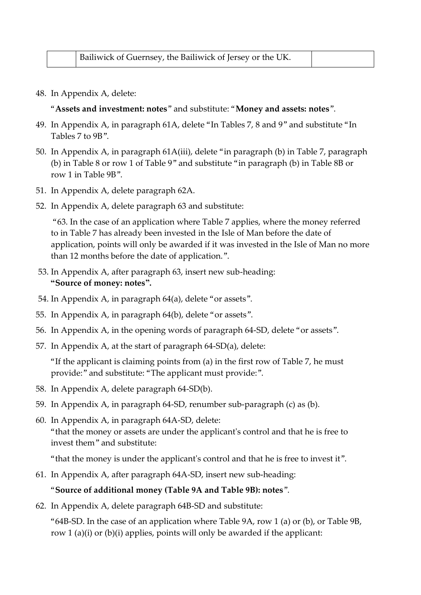|  | Bailiwick of Guernsey, the Bailiwick of Jersey or the UK. |  |
|--|-----------------------------------------------------------|--|
|--|-----------------------------------------------------------|--|

48. In Appendix A, delete:

"**Assets and investment: notes**" and substitute: "**Money and assets: notes**".

- 49. In Appendix A, in paragraph 61A, delete "In Tables 7, 8 and 9" and substitute "In Tables 7 to 9B".
- 50. In Appendix A, in paragraph 61A(iii), delete "in paragraph (b) in Table 7, paragraph (b) in Table 8 or row 1 of Table 9" and substitute "in paragraph (b) in Table 8B or row 1 in Table 9B".
- 51. In Appendix A, delete paragraph 62A.
- 52. In Appendix A, delete paragraph 63 and substitute:

"63. In the case of an application where Table 7 applies, where the money referred to in Table 7 has already been invested in the Isle of Man before the date of application, points will only be awarded if it was invested in the Isle of Man no more than 12 months before the date of application.".

- 53. In Appendix A, after paragraph 63, insert new sub-heading: **"Source of money: notes".**
- 54. In Appendix A, in paragraph 64(a), delete "or assets".
- 55. In Appendix A, in paragraph 64(b), delete "or assets".
- 56. In Appendix A, in the opening words of paragraph 64-SD, delete "or assets".
- 57. In Appendix A, at the start of paragraph 64-SD(a), delete:

"If the applicant is claiming points from (a) in the first row of Table 7, he must provide:" and substitute: "The applicant must provide:".

- 58. In Appendix A, delete paragraph 64-SD(b).
- 59. In Appendix A, in paragraph 64-SD, renumber sub-paragraph (c) as (b).
- 60. In Appendix A, in paragraph 64A-SD, delete: "that the money or assets are under the applicant's control and that he is free to invest them" and substitute:

"that the money is under the applicant's control and that he is free to invest it".

61. In Appendix A, after paragraph 64A-SD, insert new sub-heading:

#### "**Source of additional money (Table 9A and Table 9B): notes**".

62. In Appendix A, delete paragraph 64B-SD and substitute:

"64B-SD. In the case of an application where Table  $9A$ , row 1 (a) or (b), or Table  $9B$ , row 1 (a)(i) or (b)(i) applies, points will only be awarded if the applicant: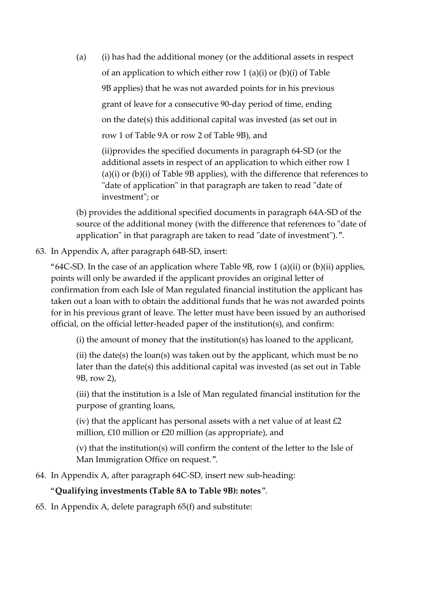(a) (i) has had the additional money (or the additional assets in respect of an application to which either row 1 (a)(i) or (b)(i) of Table 9B applies) that he was not awarded points for in his previous grant of leave for a consecutive 90-day period of time, ending on the date(s) this additional capital was invested (as set out in row 1 of Table 9A or row 2 of Table 9B), and

(ii)provides the specified documents in paragraph 64-SD (or the additional assets in respect of an application to which either row 1 (a)(i) or (b)(i) of Table 9B applies), with the difference that references to "date of application" in that paragraph are taken to read "date of investment"; or

(b) provides the additional specified documents in paragraph 64A-SD of the source of the additional money (with the difference that references to "date of application" in that paragraph are taken to read "date of investment").".

63. In Appendix A, after paragraph 64B-SD, insert:

"64C-SD. In the case of an application where Table  $9B$ , row 1 (a)(ii) or (b)(ii) applies, points will only be awarded if the applicant provides an original letter of confirmation from each Isle of Man regulated financial institution the applicant has taken out a loan with to obtain the additional funds that he was not awarded points for in his previous grant of leave. The letter must have been issued by an authorised official, on the official letter-headed paper of the institution(s), and confirm:

(i) the amount of money that the institution(s) has loaned to the applicant,

(ii) the date(s) the loan(s) was taken out by the applicant, which must be no later than the date(s) this additional capital was invested (as set out in Table 9B, row 2),

(iii) that the institution is a Isle of Man regulated financial institution for the purpose of granting loans,

(iv) that the applicant has personal assets with a net value of at least  $\pounds 2$ million, £10 million or £20 million (as appropriate), and

(v) that the institution(s) will confirm the content of the letter to the Isle of Man Immigration Office on request.".

64. In Appendix A, after paragraph 64C-SD, insert new sub-heading:

#### "**Qualifying investments (Table 8A to Table 9B): notes**".

65. In Appendix A, delete paragraph 65(f) and substitute: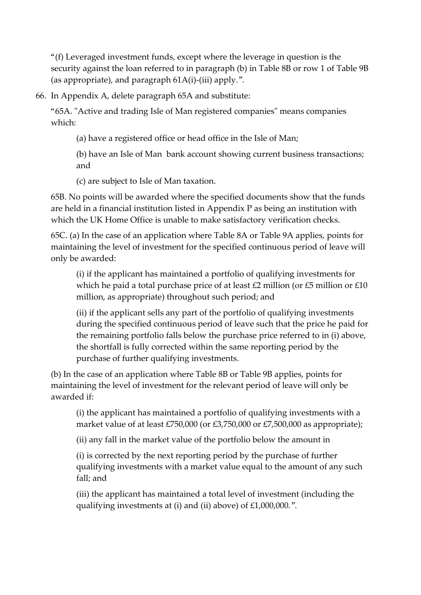"(f) Leveraged investment funds, except where the leverage in question is the security against the loan referred to in paragraph (b) in Table 8B or row 1 of Table 9B (as appropriate), and paragraph 61A(i)-(iii) apply.".

66. In Appendix A, delete paragraph 65A and substitute:

"65A. "Active and trading Isle of Man registered companies" means companies which:

(a) have a registered office or head office in the Isle of Man;

(b) have an Isle of Man bank account showing current business transactions; and

(c) are subject to Isle of Man taxation.

65B. No points will be awarded where the specified documents show that the funds are held in a financial institution listed in Appendix P as being an institution with which the UK Home Office is unable to make satisfactory verification checks.

65C. (a) In the case of an application where Table 8A or Table 9A applies, points for maintaining the level of investment for the specified continuous period of leave will only be awarded:

(i) if the applicant has maintained a portfolio of qualifying investments for which he paid a total purchase price of at least £2 million (or £5 million or £10 million, as appropriate) throughout such period; and

(ii) if the applicant sells any part of the portfolio of qualifying investments during the specified continuous period of leave such that the price he paid for the remaining portfolio falls below the purchase price referred to in (i) above, the shortfall is fully corrected within the same reporting period by the purchase of further qualifying investments.

(b) In the case of an application where Table 8B or Table 9B applies, points for maintaining the level of investment for the relevant period of leave will only be awarded if:

(i) the applicant has maintained a portfolio of qualifying investments with a market value of at least £750,000 (or £3,750,000 or £7,500,000 as appropriate);

(ii) any fall in the market value of the portfolio below the amount in

(i) is corrected by the next reporting period by the purchase of further qualifying investments with a market value equal to the amount of any such fall; and

(iii) the applicant has maintained a total level of investment (including the qualifying investments at (i) and (ii) above) of £1,000,000.".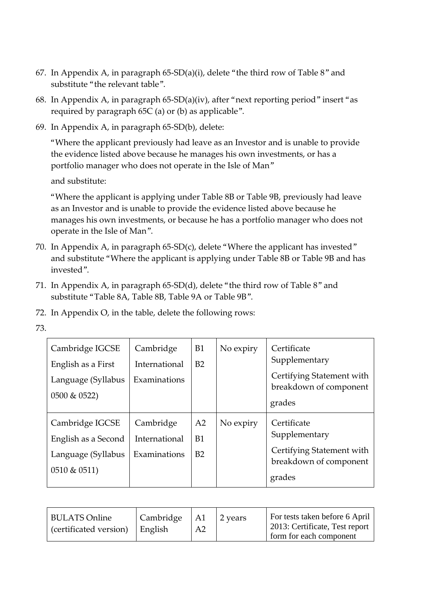- 67. In Appendix A, in paragraph 65-SD(a)(i), delete "the third row of Table 8" and substitute "the relevant table".
- 68. In Appendix A, in paragraph 65-SD(a)(iv), after "next reporting period" insert "as required by paragraph 65C (a) or (b) as applicable".
- 69. In Appendix A, in paragraph 65-SD(b), delete:

"Where the applicant previously had leave as an Investor and is unable to provide the evidence listed above because he manages his own investments, or has a portfolio manager who does not operate in the Isle of Man"

and substitute:

"Where the applicant is applying under Table 8B or Table 9B, previously had leave as an Investor and is unable to provide the evidence listed above because he manages his own investments, or because he has a portfolio manager who does not operate in the Isle of Man".

- 70. In Appendix A, in paragraph 65-SD(c), delete "Where the applicant has invested" and substitute "Where the applicant is applying under Table 8B or Table 9B and has invested".
- 71. In Appendix A, in paragraph 65-SD(d), delete "the third row of Table 8" and substitute "Table 8A, Table 8B, Table 9A or Table 9B".
- 72. In Appendix O, in the table, delete the following rows:
- 73.

| Cambridge IGCSE<br>English as a First<br>Language (Syllabus<br>$0500 \& 0522$  | Cambridge<br>International<br>Examinations | <b>B1</b><br>B2            | No expiry | Certificate<br>Supplementary<br>Certifying Statement with<br>breakdown of component<br>grades |
|--------------------------------------------------------------------------------|--------------------------------------------|----------------------------|-----------|-----------------------------------------------------------------------------------------------|
| Cambridge IGCSE<br>English as a Second<br>Language (Syllabus<br>$0510 \& 0511$ | Cambridge<br>International<br>Examinations | A <sub>2</sub><br>B1<br>B2 | No expiry | Certificate<br>Supplementary<br>Certifying Statement with<br>breakdown of component<br>grades |

| <b>BULATS Online</b><br>$\vert$ (certificated version) $\vert$ English | Cambridge | $\mathsf{A}1$<br>A <sub>2</sub> | 2 years | For tests taken before 6 April<br>2013: Certificate, Test report<br>form for each component |
|------------------------------------------------------------------------|-----------|---------------------------------|---------|---------------------------------------------------------------------------------------------|
|------------------------------------------------------------------------|-----------|---------------------------------|---------|---------------------------------------------------------------------------------------------|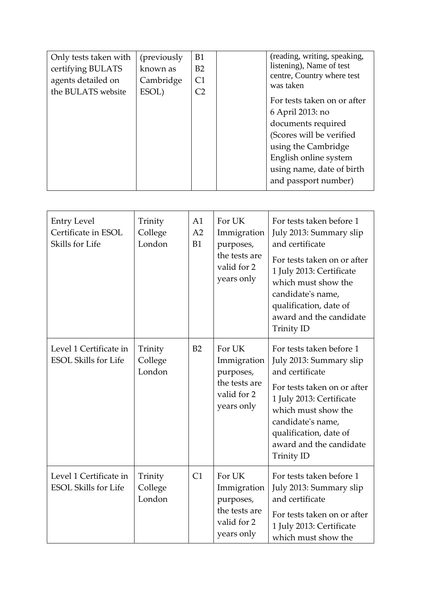| Only tests taken with | (previously) | B1             | (reading, writing, speaking,            |
|-----------------------|--------------|----------------|-----------------------------------------|
| certifying BULATS     | known as     | B <sub>2</sub> | listening), Name of test                |
| agents detailed on    | Cambridge    | C1             | centre, Country where test<br>was taken |
| the BULATS website    | ESOL)        | C <sub>2</sub> |                                         |
|                       |              |                | For tests taken on or after             |
|                       |              |                | 6 April 2013: no                        |
|                       |              |                | documents required                      |
|                       |              |                | (Scores will be verified                |
|                       |              |                | using the Cambridge                     |
|                       |              |                | English online system                   |
|                       |              |                | using name, date of birth               |
|                       |              |                | and passport number)                    |

| <b>Entry Level</b><br>Certificate in ESOL<br>Skills for Life | Trinity<br>College<br>London | A1<br>A2<br><b>B1</b> | For UK<br>Immigration<br>purposes,<br>the tests are<br>valid for 2<br>years only | For tests taken before 1<br>July 2013: Summary slip<br>and certificate<br>For tests taken on or after<br>1 July 2013: Certificate                                                                                                                       |
|--------------------------------------------------------------|------------------------------|-----------------------|----------------------------------------------------------------------------------|---------------------------------------------------------------------------------------------------------------------------------------------------------------------------------------------------------------------------------------------------------|
|                                                              |                              |                       |                                                                                  | which must show the<br>candidate's name,<br>qualification, date of<br>award and the candidate<br><b>Trinity ID</b>                                                                                                                                      |
| Level 1 Certificate in<br><b>ESOL Skills for Life</b>        | Trinity<br>College<br>London | B2                    | For UK<br>Immigration<br>purposes,<br>the tests are<br>valid for 2<br>years only | For tests taken before 1<br>July 2013: Summary slip<br>and certificate<br>For tests taken on or after<br>1 July 2013: Certificate<br>which must show the<br>candidate's name,<br>qualification, date of<br>award and the candidate<br><b>Trinity ID</b> |
| Level 1 Certificate in<br><b>ESOL Skills for Life</b>        | Trinity<br>College<br>London | C1                    | For UK<br>Immigration<br>purposes,<br>the tests are<br>valid for 2<br>years only | For tests taken before 1<br>July 2013: Summary slip<br>and certificate<br>For tests taken on or after<br>1 July 2013: Certificate<br>which must show the                                                                                                |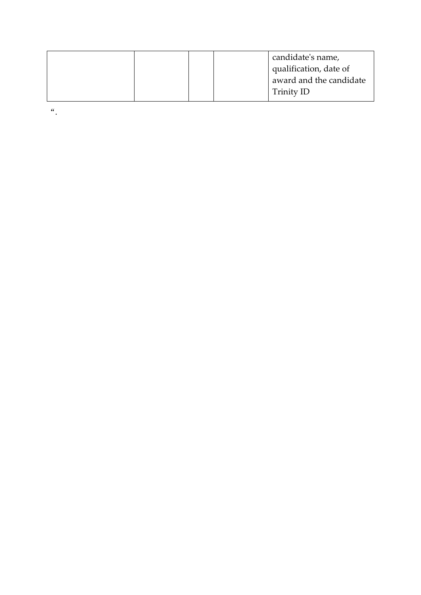|  |  | candidate's name,       |
|--|--|-------------------------|
|  |  | qualification, date of  |
|  |  | award and the candidate |
|  |  | Trinity ID              |

 $\frac{a}{\cdot}$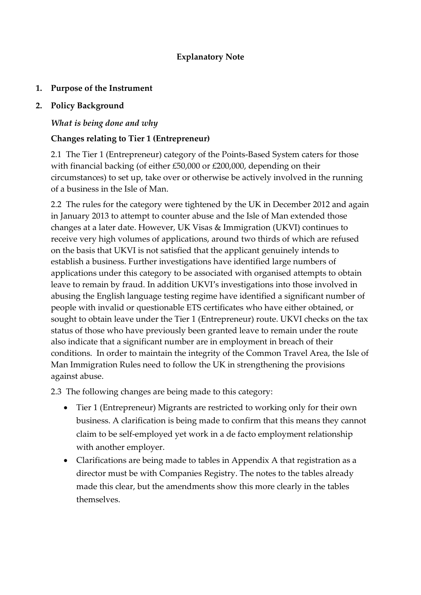#### **Explanatory Note**

#### **1. Purpose of the Instrument**

#### **2. Policy Background**

### *What is being done and why*

### **Changes relating to Tier 1 (Entrepreneur)**

2.1 The Tier 1 (Entrepreneur) category of the Points-Based System caters for those with financial backing (of either £50,000 or £200,000, depending on their circumstances) to set up, take over or otherwise be actively involved in the running of a business in the Isle of Man.

2.2 The rules for the category were tightened by the UK in December 2012 and again in January 2013 to attempt to counter abuse and the Isle of Man extended those changes at a later date. However, UK Visas & Immigration (UKVI) continues to receive very high volumes of applications, around two thirds of which are refused on the basis that UKVI is not satisfied that the applicant genuinely intends to establish a business. Further investigations have identified large numbers of applications under this category to be associated with organised attempts to obtain leave to remain by fraud. In addition UKVI's investigations into those involved in abusing the English language testing regime have identified a significant number of people with invalid or questionable ETS certificates who have either obtained, or sought to obtain leave under the Tier 1 (Entrepreneur) route. UKVI checks on the tax status of those who have previously been granted leave to remain under the route also indicate that a significant number are in employment in breach of their conditions. In order to maintain the integrity of the Common Travel Area, the Isle of Man Immigration Rules need to follow the UK in strengthening the provisions against abuse.

2.3 The following changes are being made to this category:

- Tier 1 (Entrepreneur) Migrants are restricted to working only for their own business. A clarification is being made to confirm that this means they cannot claim to be self-employed yet work in a de facto employment relationship with another employer.
- Clarifications are being made to tables in Appendix A that registration as a director must be with Companies Registry. The notes to the tables already made this clear, but the amendments show this more clearly in the tables themselves.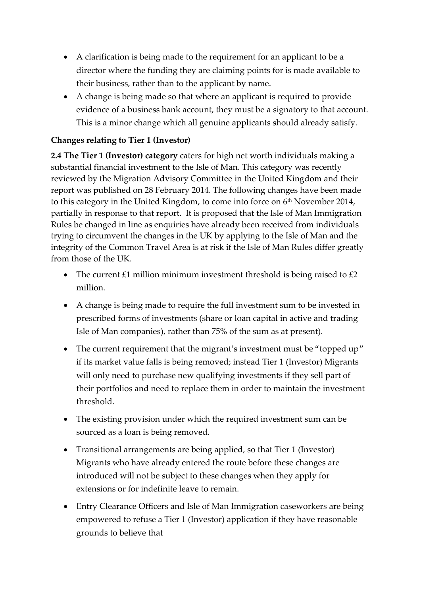- A clarification is being made to the requirement for an applicant to be a director where the funding they are claiming points for is made available to their business, rather than to the applicant by name.
- A change is being made so that where an applicant is required to provide evidence of a business bank account, they must be a signatory to that account. This is a minor change which all genuine applicants should already satisfy.

## **Changes relating to Tier 1 (Investor)**

**2.4 The Tier 1 (Investor) category** caters for high net worth individuals making a substantial financial investment to the Isle of Man. This category was recently reviewed by the Migration Advisory Committee in the United Kingdom and their report was published on 28 February 2014. The following changes have been made to this category in the United Kingdom, to come into force on  $6<sup>th</sup>$  November 2014, partially in response to that report. It is proposed that the Isle of Man Immigration Rules be changed in line as enquiries have already been received from individuals trying to circumvent the changes in the UK by applying to the Isle of Man and the integrity of the Common Travel Area is at risk if the Isle of Man Rules differ greatly from those of the UK.

- The current £1 million minimum investment threshold is being raised to  $£2$ million.
- A change is being made to require the full investment sum to be invested in prescribed forms of investments (share or loan capital in active and trading Isle of Man companies), rather than 75% of the sum as at present).
- The current requirement that the migrant's investment must be "topped up" if its market value falls is being removed; instead Tier 1 (Investor) Migrants will only need to purchase new qualifying investments if they sell part of their portfolios and need to replace them in order to maintain the investment threshold.
- The existing provision under which the required investment sum can be sourced as a loan is being removed.
- Transitional arrangements are being applied, so that Tier 1 (Investor) Migrants who have already entered the route before these changes are introduced will not be subject to these changes when they apply for extensions or for indefinite leave to remain.
- Entry Clearance Officers and Isle of Man Immigration caseworkers are being empowered to refuse a Tier 1 (Investor) application if they have reasonable grounds to believe that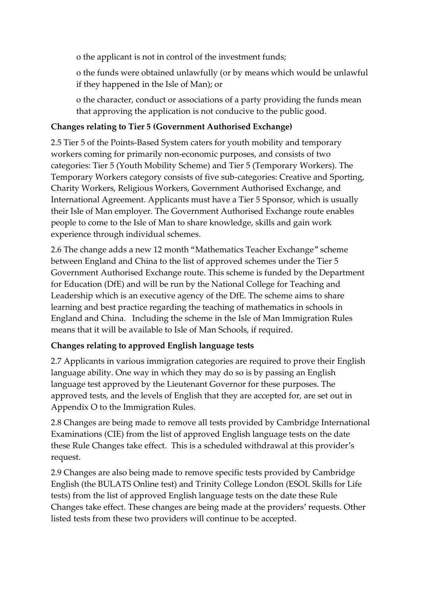o the applicant is not in control of the investment funds;

o the funds were obtained unlawfully (or by means which would be unlawful if they happened in the Isle of Man); or

o the character, conduct or associations of a party providing the funds mean that approving the application is not conducive to the public good.

## **Changes relating to Tier 5 (Government Authorised Exchange)**

2.5 Tier 5 of the Points-Based System caters for youth mobility and temporary workers coming for primarily non-economic purposes, and consists of two categories: Tier 5 (Youth Mobility Scheme) and Tier 5 (Temporary Workers). The Temporary Workers category consists of five sub-categories: Creative and Sporting, Charity Workers, Religious Workers, Government Authorised Exchange, and International Agreement. Applicants must have a Tier 5 Sponsor, which is usually their Isle of Man employer. The Government Authorised Exchange route enables people to come to the Isle of Man to share knowledge, skills and gain work experience through individual schemes.

2.6 The change adds a new 12 month "Mathematics Teacher Exchange" scheme between England and China to the list of approved schemes under the Tier 5 Government Authorised Exchange route. This scheme is funded by the Department for Education (DfE) and will be run by the National College for Teaching and Leadership which is an executive agency of the DfE. The scheme aims to share learning and best practice regarding the teaching of mathematics in schools in England and China. Including the scheme in the Isle of Man Immigration Rules means that it will be available to Isle of Man Schools, if required.

# **Changes relating to approved English language tests**

2.7 Applicants in various immigration categories are required to prove their English language ability. One way in which they may do so is by passing an English language test approved by the Lieutenant Governor for these purposes. The approved tests, and the levels of English that they are accepted for, are set out in Appendix O to the Immigration Rules.

2.8 Changes are being made to remove all tests provided by Cambridge International Examinations (CIE) from the list of approved English language tests on the date these Rule Changes take effect. This is a scheduled withdrawal at this provider's request.

2.9 Changes are also being made to remove specific tests provided by Cambridge English (the BULATS Online test) and Trinity College London (ESOL Skills for Life tests) from the list of approved English language tests on the date these Rule Changes take effect. These changes are being made at the providers' requests. Other listed tests from these two providers will continue to be accepted.